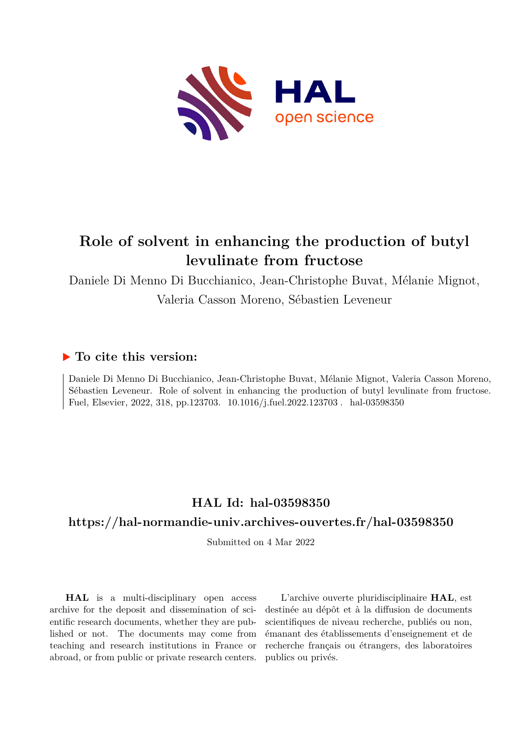

# **Role of solvent in enhancing the production of butyl levulinate from fructose**

Daniele Di Menno Di Bucchianico, Jean-Christophe Buvat, Mélanie Mignot,

Valeria Casson Moreno, Sébastien Leveneur

## **To cite this version:**

Daniele Di Menno Di Bucchianico, Jean-Christophe Buvat, Mélanie Mignot, Valeria Casson Moreno, Sébastien Leveneur. Role of solvent in enhancing the production of butyl levulinate from fructose. Fuel, Elsevier, 2022, 318, pp.123703. 10.1016/j.fuel.2022.123703. hal-03598350

# **HAL Id: hal-03598350**

## **<https://hal-normandie-univ.archives-ouvertes.fr/hal-03598350>**

Submitted on 4 Mar 2022

**HAL** is a multi-disciplinary open access archive for the deposit and dissemination of scientific research documents, whether they are published or not. The documents may come from teaching and research institutions in France or abroad, or from public or private research centers.

L'archive ouverte pluridisciplinaire **HAL**, est destinée au dépôt et à la diffusion de documents scientifiques de niveau recherche, publiés ou non, émanant des établissements d'enseignement et de recherche français ou étrangers, des laboratoires publics ou privés.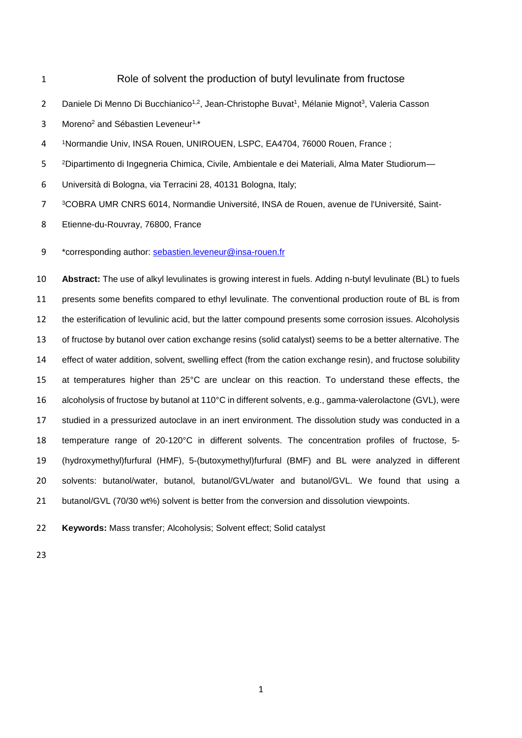Role of solvent the production of butyl levulinate from fructose 2 Daniele Di Menno Di Bucchianico<sup>1,2</sup>, Jean-Christophe Buvat<sup>1</sup>, Mélanie Mignot<sup>3</sup>, Valeria Casson 3 Moreno<sup>2</sup> and Sébastien Leveneur<sup>1,\*</sup> Normandie Univ, INSA Rouen, UNIROUEN, LSPC, EA4704, 76000 Rouen, France ; Dipartimento di Ingegneria Chimica, Civile, Ambientale e dei Materiali, Alma Mater Studiorum— Università di Bologna, via Terracini 28, 40131 Bologna, Italy; COBRA UMR CNRS 6014, Normandie Université, INSA de Rouen, avenue de l'Université, Saint- Etienne-du-Rouvray, 76800, France 9 \*corresponding author: [sebastien.leveneur@insa-rouen.fr](mailto:sebastien.leveneur@insa-rouen.fr) **Abstract:** The use of alkyl levulinates is growing interest in fuels. Adding n-butyl levulinate (BL) to fuels presents some benefits compared to ethyl levulinate. The conventional production route of BL is from the esterification of levulinic acid, but the latter compound presents some corrosion issues. Alcoholysis of fructose by butanol over cation exchange resins (solid catalyst) seems to be a better alternative. The effect of water addition, solvent, swelling effect (from the cation exchange resin), and fructose solubility at temperatures higher than 25°C are unclear on this reaction. To understand these effects, the alcoholysis of fructose by butanol at 110°C in different solvents, e.g., gamma-valerolactone (GVL), were studied in a pressurized autoclave in an inert environment. The dissolution study was conducted in a temperature range of 20-120°C in different solvents. The concentration profiles of fructose, 5- (hydroxymethyl)furfural (HMF), 5-(butoxymethyl)furfural (BMF) and BL were analyzed in different solvents: butanol/water, butanol, butanol/GVL/water and butanol/GVL. We found that using a butanol/GVL (70/30 wt%) solvent is better from the conversion and dissolution viewpoints. **Keywords:** Mass transfer; Alcoholysis; Solvent effect; Solid catalyst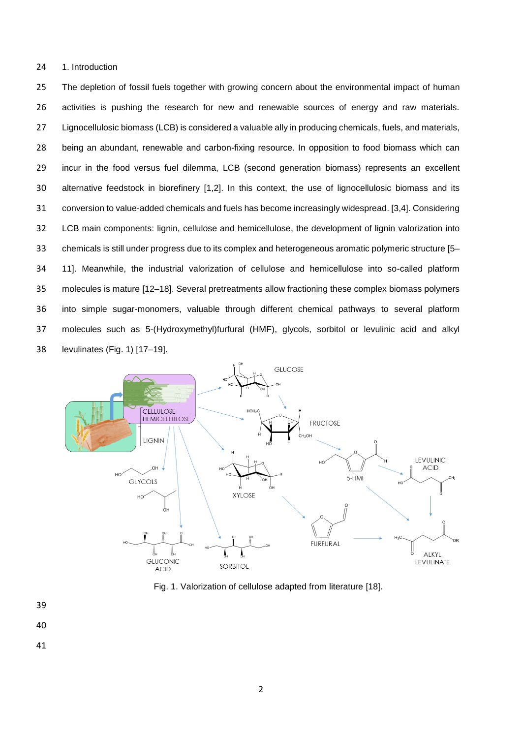24 1. Introduction

 The depletion of fossil fuels together with growing concern about the environmental impact of human activities is pushing the research for new and renewable sources of energy and raw materials. Lignocellulosic biomass (LCB) is considered a valuable ally in producing chemicals, fuels, and materials, being an abundant, renewable and carbon-fixing resource. In opposition to food biomass which can incur in the food versus fuel dilemma, LCB (second generation biomass) represents an excellent alternative feedstock in biorefinery [1,2]. In this context, the use of lignocellulosic biomass and its conversion to value-added chemicals and fuels has become increasingly widespread. [3,4]. Considering LCB main components: lignin, cellulose and hemicellulose, the development of lignin valorization into chemicals is still under progress due to its complex and heterogeneous aromatic polymeric structure [5– 11]. Meanwhile, the industrial valorization of cellulose and hemicellulose into so-called platform molecules is mature [12–18]. Several pretreatments allow fractioning these complex biomass polymers into simple sugar-monomers, valuable through different chemical pathways to several platform molecules such as 5-(Hydroxymethyl)furfural (HMF), glycols, sorbitol or levulinic acid and alkyl levulinates (Fig. 1) [17–19].



Fig. 1. Valorization of cellulose adapted from literature [18].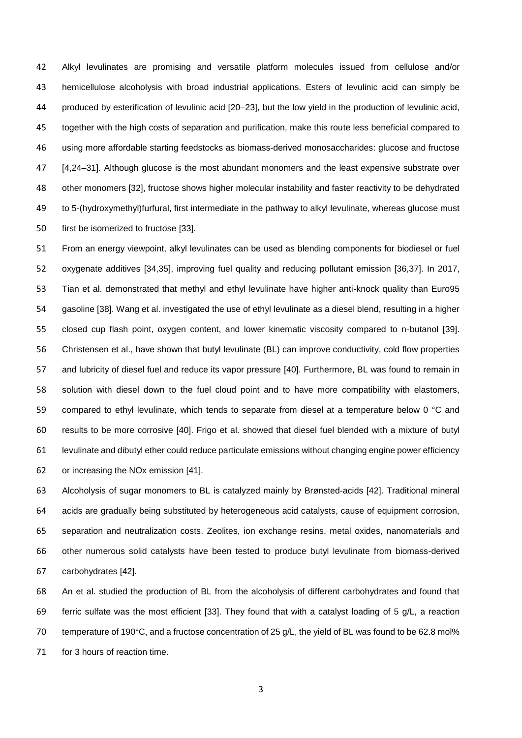Alkyl levulinates are promising and versatile platform molecules issued from cellulose and/or hemicellulose alcoholysis with broad industrial applications. Esters of levulinic acid can simply be produced by esterification of levulinic acid [20–23], but the low yield in the production of levulinic acid, together with the high costs of separation and purification, make this route less beneficial compared to using more affordable starting feedstocks as biomass-derived monosaccharides: glucose and fructose 47 [4,24–31]. Although glucose is the most abundant monomers and the least expensive substrate over other monomers [32], fructose shows higher molecular instability and faster reactivity to be dehydrated to 5-(hydroxymethyl)furfural, first intermediate in the pathway to alkyl levulinate, whereas glucose must first be isomerized to fructose [33].

 From an energy viewpoint, alkyl levulinates can be used as blending components for biodiesel or fuel oxygenate additives [34,35], improving fuel quality and reducing pollutant emission [36,37]. In 2017, Tian et al. demonstrated that methyl and ethyl levulinate have higher anti-knock quality than Euro95 gasoline [38]. Wang et al. investigated the use of ethyl levulinate as a diesel blend, resulting in a higher closed cup flash point, oxygen content, and lower kinematic viscosity compared to n-butanol [39]. Christensen et al., have shown that butyl levulinate (BL) can improve conductivity, cold flow properties and lubricity of diesel fuel and reduce its vapor pressure [40]. Furthermore, BL was found to remain in solution with diesel down to the fuel cloud point and to have more compatibility with elastomers, 59 compared to ethyl levulinate, which tends to separate from diesel at a temperature below 0 °C and results to be more corrosive [40]. Frigo et al. showed that diesel fuel blended with a mixture of butyl levulinate and dibutyl ether could reduce particulate emissions without changing engine power efficiency or increasing the NOx emission [41].

 Alcoholysis of sugar monomers to BL is catalyzed mainly by Brønsted-acids [42]. Traditional mineral acids are gradually being substituted by heterogeneous acid catalysts, cause of equipment corrosion, separation and neutralization costs. Zeolites, ion exchange resins, metal oxides, nanomaterials and other numerous solid catalysts have been tested to produce butyl levulinate from biomass-derived carbohydrates [42].

 An et al. studied the production of BL from the alcoholysis of different carbohydrates and found that 69 ferric sulfate was the most efficient [33]. They found that with a catalyst loading of 5  $q/L$ , a reaction temperature of 190°C, and a fructose concentration of 25 g/L, the yield of BL was found to be 62.8 mol% 71 for 3 hours of reaction time.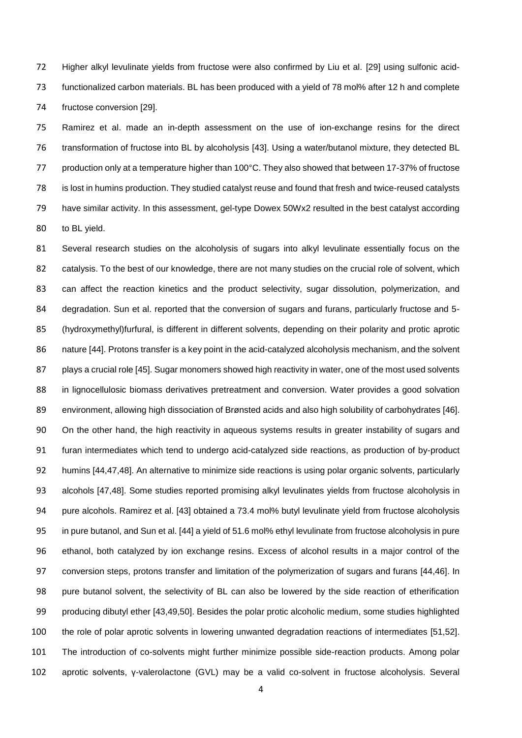Higher alkyl levulinate yields from fructose were also confirmed by Liu et al. [29] using sulfonic acid- functionalized carbon materials. BL has been produced with a yield of 78 mol% after 12 h and complete fructose conversion [29].

 Ramirez et al. made an in-depth assessment on the use of ion-exchange resins for the direct transformation of fructose into BL by alcoholysis [43]. Using a water/butanol mixture, they detected BL 77 production only at a temperature higher than 100°C. They also showed that between 17-37% of fructose is lost in humins production. They studied catalyst reuse and found that fresh and twice-reused catalysts have similar activity. In this assessment, gel-type Dowex 50Wx2 resulted in the best catalyst according to BL yield.

 Several research studies on the alcoholysis of sugars into alkyl levulinate essentially focus on the catalysis. To the best of our knowledge, there are not many studies on the crucial role of solvent, which can affect the reaction kinetics and the product selectivity, sugar dissolution, polymerization, and 84 degradation. Sun et al. reported that the conversion of sugars and furans, particularly fructose and 5- (hydroxymethyl)furfural, is different in different solvents, depending on their polarity and protic aprotic 86 nature [44]. Protons transfer is a key point in the acid-catalyzed alcoholysis mechanism, and the solvent plays a crucial role [45]. Sugar monomers showed high reactivity in water, one of the most used solvents in lignocellulosic biomass derivatives pretreatment and conversion. Water provides a good solvation environment, allowing high dissociation of Brønsted acids and also high solubility of carbohydrates [46]. On the other hand, the high reactivity in aqueous systems results in greater instability of sugars and furan intermediates which tend to undergo acid-catalyzed side reactions, as production of by-product humins [44,47,48]. An alternative to minimize side reactions is using polar organic solvents, particularly alcohols [47,48]. Some studies reported promising alkyl levulinates yields from fructose alcoholysis in pure alcohols. Ramirez et al. [43] obtained a 73.4 mol% butyl levulinate yield from fructose alcoholysis in pure butanol, and Sun et al. [44] a yield of 51.6 mol% ethyl levulinate from fructose alcoholysis in pure ethanol, both catalyzed by ion exchange resins. Excess of alcohol results in a major control of the conversion steps, protons transfer and limitation of the polymerization of sugars and furans [44,46]. In pure butanol solvent, the selectivity of BL can also be lowered by the side reaction of etherification producing dibutyl ether [43,49,50]. Besides the polar protic alcoholic medium, some studies highlighted the role of polar aprotic solvents in lowering unwanted degradation reactions of intermediates [51,52]. The introduction of co-solvents might further minimize possible side-reaction products. Among polar aprotic solvents, γ-valerolactone (GVL) may be a valid co-solvent in fructose alcoholysis. Several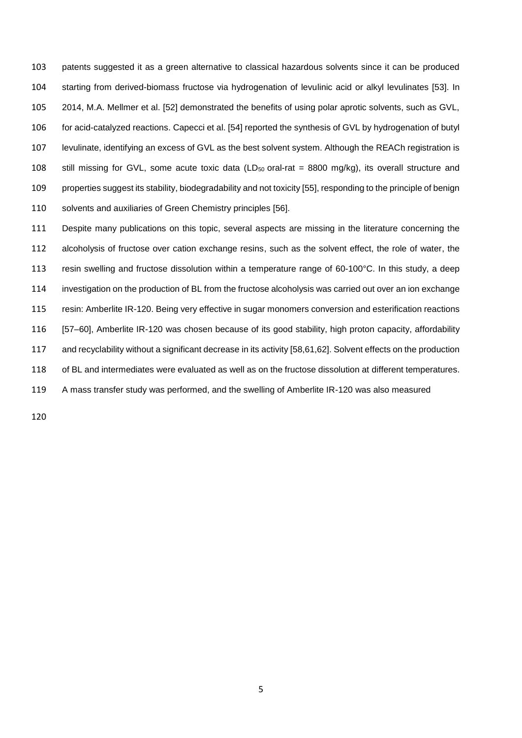patents suggested it as a green alternative to classical hazardous solvents since it can be produced starting from derived-biomass fructose via hydrogenation of levulinic acid or alkyl levulinates [53]. In 2014, M.A. Mellmer et al. [52] demonstrated the benefits of using polar aprotic solvents, such as GVL, for acid-catalyzed reactions. Capecci et al. [54] reported the synthesis of GVL by hydrogenation of butyl levulinate, identifying an excess of GVL as the best solvent system. Although the REACh registration is 108 still missing for GVL, some acute toxic data (LD $_{50}$  oral-rat = 8800 mg/kg), its overall structure and properties suggest its stability, biodegradability and not toxicity [55], responding to the principle of benign solvents and auxiliaries of Green Chemistry principles [56].

 Despite many publications on this topic, several aspects are missing in the literature concerning the alcoholysis of fructose over cation exchange resins, such as the solvent effect, the role of water, the resin swelling and fructose dissolution within a temperature range of 60-100°C. In this study, a deep investigation on the production of BL from the fructose alcoholysis was carried out over an ion exchange resin: Amberlite IR-120. Being very effective in sugar monomers conversion and esterification reactions [57–60], Amberlite IR-120 was chosen because of its good stability, high proton capacity, affordability and recyclability without a significant decrease in its activity [58,61,62]. Solvent effects on the production of BL and intermediates were evaluated as well as on the fructose dissolution at different temperatures. A mass transfer study was performed, and the swelling of Amberlite IR-120 was also measured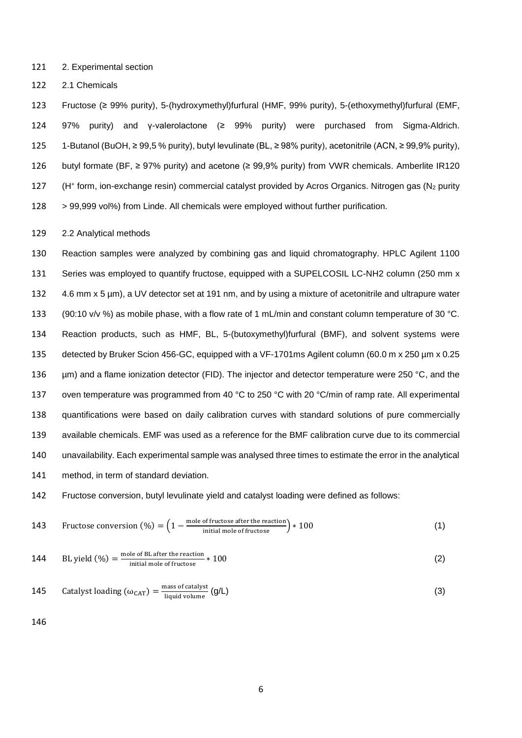2. Experimental section

2.1 Chemicals

 Fructose (≥ 99% purity), 5-(hydroxymethyl)furfural (HMF, 99% purity), 5-(ethoxymethyl)furfural (EMF, 97% purity) and γ-valerolactone (≥ 99% purity) were purchased from Sigma-Aldrich. 1-Butanol (BuOH, ≥ 99,5 % purity), butyl levulinate (BL, ≥ 98% purity), acetonitrile (ACN, ≥ 99,9% purity), butyl formate (BF, ≥ 97% purity) and acetone (≥ 99,9% purity) from VWR chemicals. Amberlite IR120 127 (H<sup>+</sup> form, ion-exchange resin) commercial catalyst provided by Acros Organics. Nitrogen gas (N<sub>2</sub> purity > 99,999 vol%) from Linde. All chemicals were employed without further purification.

2.2 Analytical methods

 Reaction samples were analyzed by combining gas and liquid chromatography. HPLC Agilent 1100 Series was employed to quantify fructose, equipped with a SUPELCOSIL LC-NH2 column (250 mm x 4.6 mm x 5 µm), a UV detector set at 191 nm, and by using a mixture of acetonitrile and ultrapure water (90:10 v/v %) as mobile phase, with a flow rate of 1 mL/min and constant column temperature of 30 °C. Reaction products, such as HMF, BL, 5-(butoxymethyl)furfural (BMF), and solvent systems were detected by Bruker Scion 456-GC, equipped with a VF-1701ms Agilent column (60.0 m x 250 µm x 0.25 136 µm) and a flame ionization detector (FID). The injector and detector temperature were 250 °C, and the 137 oven temperature was programmed from 40 °C to 250 °C with 20 °C/min of ramp rate. All experimental quantifications were based on daily calibration curves with standard solutions of pure commercially available chemicals. EMF was used as a reference for the BMF calibration curve due to its commercial unavailability. Each experimental sample was analysed three times to estimate the error in the analytical method, in term of standard deviation.

Fructose conversion, butyl levulinate yield and catalyst loading were defined as follows:

143 Fructose conversion 
$$
(\%) = \left(1 - \frac{\text{mole of fructose after the reaction}}{\text{initial mole of fructose}}\right) * 100
$$
 (1)

144 BL yield 
$$
(\%) = \frac{\text{mole of BL after the reaction}}{\text{initial mole of fructose}} \times 100
$$
 (2)

145 Catalyst loading (
$$
\omega_{CAT}
$$
) =  $\frac{\text{mass of catalyst}}{\text{liquid volume}}$  ( $\text{g/L}$ ) (3)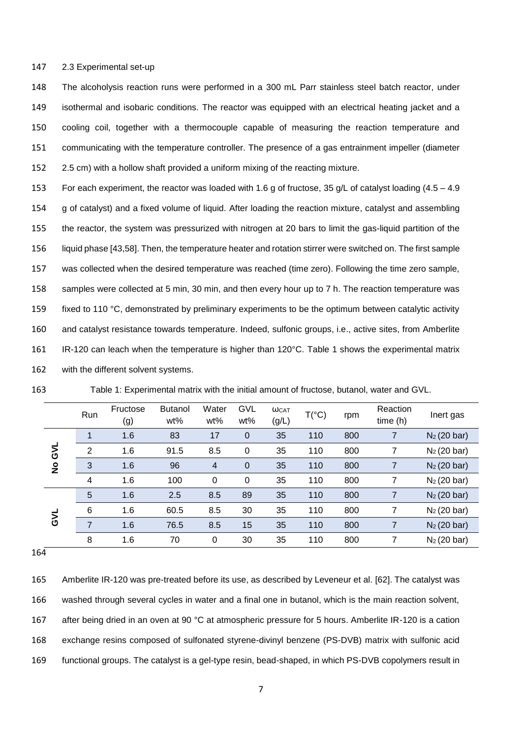#### 2.3 Experimental set-up

 The alcoholysis reaction runs were performed in a 300 mL Parr stainless steel batch reactor, under isothermal and isobaric conditions. The reactor was equipped with an electrical heating jacket and a cooling coil, together with a thermocouple capable of measuring the reaction temperature and communicating with the temperature controller. The presence of a gas entrainment impeller (diameter 2.5 cm) with a hollow shaft provided a uniform mixing of the reacting mixture.

 For each experiment, the reactor was loaded with 1.6 g of fructose, 35 g/L of catalyst loading (4.5 – 4.9 g of catalyst) and a fixed volume of liquid. After loading the reaction mixture, catalyst and assembling the reactor, the system was pressurized with nitrogen at 20 bars to limit the gas-liquid partition of the liquid phase [43,58]. Then, the temperature heater and rotation stirrer were switched on. The first sample was collected when the desired temperature was reached (time zero). Following the time zero sample, samples were collected at 5 min, 30 min, and then every hour up to 7 h. The reaction temperature was fixed to 110 °C, demonstrated by preliminary experiments to be the optimum between catalytic activity and catalyst resistance towards temperature. Indeed, sulfonic groups, i.e., active sites, from Amberlite 161 IR-120 can leach when the temperature is higher than 120°C. Table 1 shows the experimental matrix with the different solvent systems.

| 163 |  |  | Table 1: Experimental matrix with the initial amount of fructose, butanol, water and GVL. |
|-----|--|--|-------------------------------------------------------------------------------------------|
|-----|--|--|-------------------------------------------------------------------------------------------|

|               | Run            | Fructose<br>(g) | <b>Butanol</b><br>wt% | Water<br>wt%   | <b>GVL</b><br>wt% | <b>WCAT</b><br>(g/L) | $T(^{\circ}C)$ | rpm | Reaction<br>time(h) | Inert gas      |
|---------------|----------------|-----------------|-----------------------|----------------|-------------------|----------------------|----------------|-----|---------------------|----------------|
|               | $\mathbf{1}$   | 1.6             | 83                    | 17             | $\mathbf 0$       | 35                   | 110            | 800 | 7                   | $N_2$ (20 bar) |
| ار<br>ا       | $\overline{2}$ | 1.6             | 91.5                  | 8.5            | $\Omega$          | 35                   | 110            | 800 | 7                   | $N_2$ (20 bar) |
| $\frac{1}{2}$ | 3              | 1.6             | 96                    | $\overline{4}$ | $\overline{0}$    | 35                   | 110            | 800 | $\overline{7}$      | $N_2$ (20 bar) |
|               | 4              | 1.6             | 100                   | 0              | 0                 | 35                   | 110            | 800 | 7                   | $N_2$ (20 bar) |
|               | 5              | 1.6             | 2.5                   | 8.5            | 89                | 35                   | 110            | 800 | $\overline{7}$      | $N_2$ (20 bar) |
|               | 6              | 1.6             | 60.5                  | 8.5            | 30                | 35                   | 110            | 800 | 7                   | $N_2$ (20 bar) |
| JAG           | $\overline{7}$ | 1.6             | 76.5                  | 8.5            | 15                | 35                   | 110            | 800 | 7                   | $N_2$ (20 bar) |
|               | 8              | 1.6             | 70                    | 0              | 30                | 35                   | 110            | 800 | 7                   | $N_2$ (20 bar) |

 Amberlite IR-120 was pre-treated before its use, as described by Leveneur et al. [62]. The catalyst was washed through several cycles in water and a final one in butanol, which is the main reaction solvent, after being dried in an oven at 90 °C at atmospheric pressure for 5 hours. Amberlite IR-120 is a cation exchange resins composed of sulfonated styrene-divinyl benzene (PS-DVB) matrix with sulfonic acid functional groups. The catalyst is a gel-type resin, bead-shaped, in which PS-DVB copolymers result in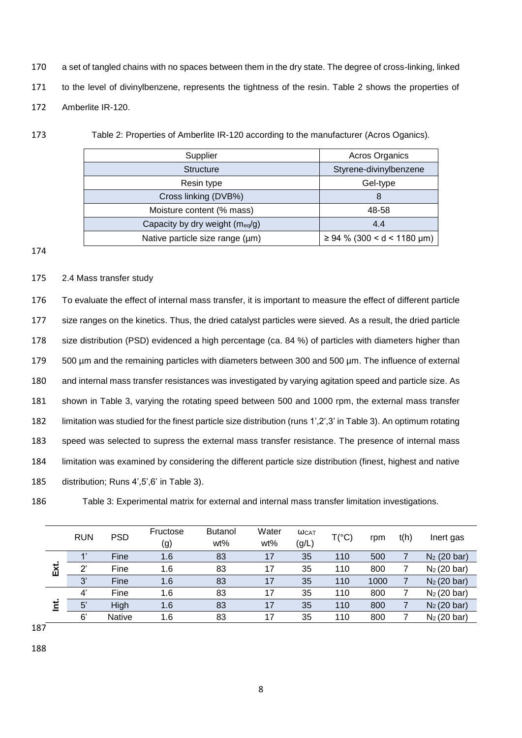- 170 a set of tangled chains with no spaces between them in the dry state. The degree of cross-linking, linked 171 to the level of divinylbenzene, represents the tightness of the resin. Table 2 shows the properties of 172 Amberlite IR-120.
- 

173 Table 2: Properties of Amberlite IR-120 according to the manufacturer (Acros Oganics).

| Supplier                        | Acros Organics                  |
|---------------------------------|---------------------------------|
| <b>Structure</b>                | Styrene-divinylbenzene          |
| Resin type                      | Gel-type                        |
| Cross linking (DVB%)            | 8                               |
| Moisture content (% mass)       | 48-58                           |
| Capacity by dry weight (meq/g)  | 4.4                             |
| Native particle size range (µm) | $\geq 94$ % (300 < d < 1180 µm) |

174

### 175 2.4 Mass transfer study

 To evaluate the effect of internal mass transfer, it is important to measure the effect of different particle size ranges on the kinetics. Thus, the dried catalyst particles were sieved. As a result, the dried particle 178 size distribution (PSD) evidenced a high percentage (ca. 84 %) of particles with diameters higher than 500 µm and the remaining particles with diameters between 300 and 500 µm. The influence of external and internal mass transfer resistances was investigated by varying agitation speed and particle size. As shown in Table 3, varying the rotating speed between 500 and 1000 rpm, the external mass transfer limitation was studied for the finest particle size distribution (runs 1',2',3' in Table 3). An optimum rotating speed was selected to supress the external mass transfer resistance. The presence of internal mass limitation was examined by considering the different particle size distribution (finest, highest and native distribution; Runs 4',5',6' in Table 3).

186 Table 3: Experimental matrix for external and internal mass transfer limitation investigations.

|          | <b>RUN</b> | <b>PSD</b>    | Fructose<br>(g) | <b>Butanol</b><br>wt% | Water<br>wt% | <b>WCAT</b><br>(g/L) | $T(^{\circ}C)$ | rpm  | t(h) | Inert gas      |
|----------|------------|---------------|-----------------|-----------------------|--------------|----------------------|----------------|------|------|----------------|
|          |            | Fine          | 1.6             | 83                    | 17           | 35                   | 110            | 500  |      | $N_2$ (20 bar) |
| Ext.     | ヮ          | Fine          | 1.6             | 83                    | 17           | 35                   | 110            | 800  |      | $N_2$ (20 bar) |
|          | 3'         | Fine          | 1.6             | 83                    | 17           | 35                   | 110            | 1000 |      | $N_2$ (20 bar) |
|          | 4'         | Fine          | 1.6             | 83                    | 17           | 35                   | 110            | 800  |      | $N_2$ (20 bar) |
| <u>ځ</u> | 5'         | High          | 1.6             | 83                    | 17           | 35                   | 110            | 800  |      | $N_2$ (20 bar) |
|          | 6'         | <b>Native</b> | 1.6             | 83                    | 17           | 35                   | 110            | 800  |      | $N_2$ (20 bar) |

187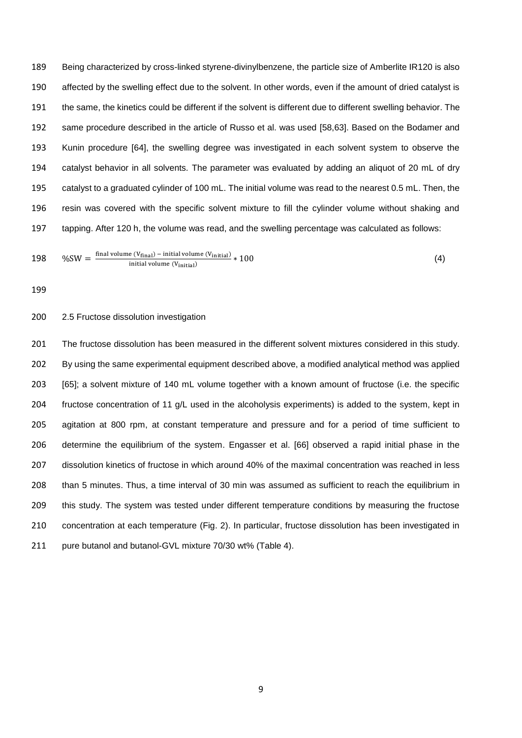Being characterized by cross-linked styrene-divinylbenzene, the particle size of Amberlite IR120 is also affected by the swelling effect due to the solvent. In other words, even if the amount of dried catalyst is the same, the kinetics could be different if the solvent is different due to different swelling behavior. The same procedure described in the article of Russo et al. was used [58,63]. Based on the Bodamer and Kunin procedure [64], the swelling degree was investigated in each solvent system to observe the catalyst behavior in all solvents*.* The parameter was evaluated by adding an aliquot of 20 mL of dry catalyst to a graduated cylinder of 100 mL. The initial volume was read to the nearest 0.5 mL. Then, the resin was covered with the specific solvent mixture to fill the cylinder volume without shaking and tapping. After 120 h, the volume was read, and the swelling percentage was calculated as follows:

198 
$$
%SW = \frac{\text{final volume} (V_{\text{final}}) - \text{initial volume} (V_{\text{initial}})}{\text{initial volume} (V_{\text{initial}})} * 100
$$
 (4)

#### 2.5 Fructose dissolution investigation

201 The fructose dissolution has been measured in the different solvent mixtures considered in this study. By using the same experimental equipment described above, a modified analytical method was applied [65]; a solvent mixture of 140 mL volume together with a known amount of fructose (i.e. the specific 204 fructose concentration of 11 g/L used in the alcoholysis experiments) is added to the system, kept in agitation at 800 rpm, at constant temperature and pressure and for a period of time sufficient to determine the equilibrium of the system. Engasser et al. [66] observed a rapid initial phase in the dissolution kinetics of fructose in which around 40% of the maximal concentration was reached in less than 5 minutes. Thus, a time interval of 30 min was assumed as sufficient to reach the equilibrium in this study. The system was tested under different temperature conditions by measuring the fructose concentration at each temperature (Fig. 2). In particular, fructose dissolution has been investigated in 211 pure butanol and butanol-GVL mixture 70/30 wt% (Table 4).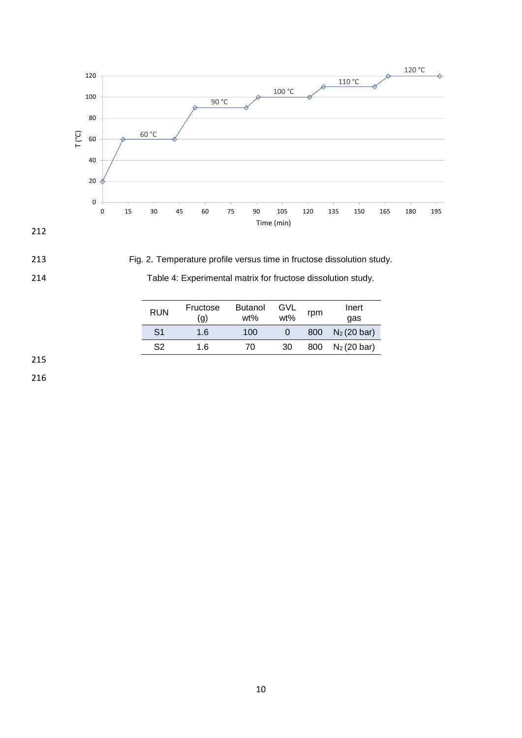



213 Fig. 2. Temperature profile versus time in fructose dissolution study.

÷

| 214 | Table 4: Experimental matrix for fructose dissolution study. |  |
|-----|--------------------------------------------------------------|--|
|     |                                                              |  |

| <b>RUN</b> | Fructose<br>(q) | <b>Butanol</b><br>wt% | GVL<br>wt% | rpm | Inert<br>qas   |  |
|------------|-----------------|-----------------------|------------|-----|----------------|--|
| S1         | 1.6             | 100                   |            | 800 | $N_2$ (20 bar) |  |
| S2         | 1.6             | 70                    | 30         | 800 | $N_2$ (20 bar) |  |

215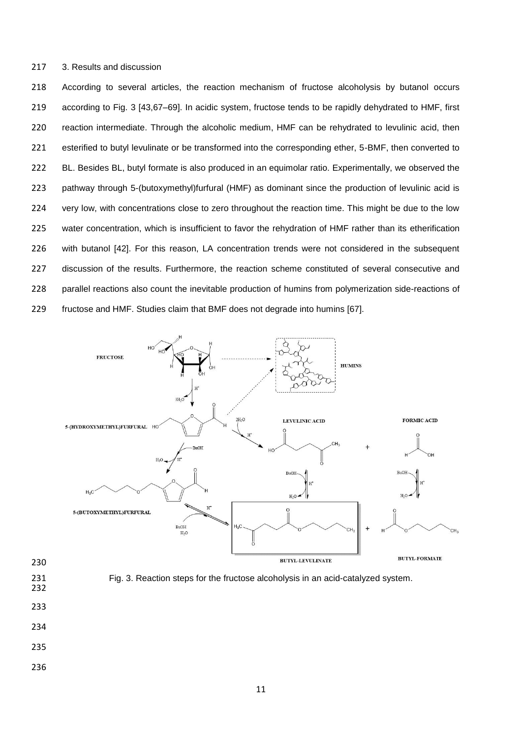#### 3. Results and discussion

 According to several articles, the reaction mechanism of fructose alcoholysis by butanol occurs according to Fig. 3 [43,67–69]. In acidic system, fructose tends to be rapidly dehydrated to HMF, first reaction intermediate. Through the alcoholic medium, HMF can be rehydrated to levulinic acid, then esterified to butyl levulinate or be transformed into the corresponding ether, 5-BMF, then converted to 222 BL. Besides BL, butyl formate is also produced in an equimolar ratio. Experimentally, we observed the pathway through 5-(butoxymethyl)furfural (HMF) as dominant since the production of levulinic acid is 224 very low, with concentrations close to zero throughout the reaction time. This might be due to the low water concentration, which is insufficient to favor the rehydration of HMF rather than its etherification with butanol [42]. For this reason, LA concentration trends were not considered in the subsequent discussion of the results. Furthermore, the reaction scheme constituted of several consecutive and parallel reactions also count the inevitable production of humins from polymerization side-reactions of fructose and HMF. Studies claim that BMF does not degrade into humins [67].





- 
- 
- 
- 
-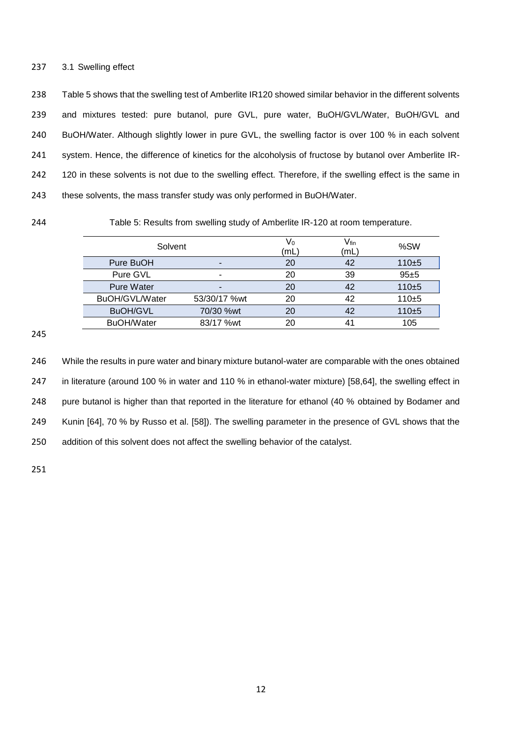#### 237 3.1 Swelling effect

 Table 5 shows that the swelling test of Amberlite IR120 showed similar behavior in the different solvents and mixtures tested: pure butanol, pure GVL, pure water, BuOH/GVL/Water, BuOH/GVL and BuOH/Water. Although slightly lower in pure GVL, the swelling factor is over 100 % in each solvent 241 system. Hence, the difference of kinetics for the alcoholysis of fructose by butanol over Amberlite IR-242 120 in these solvents is not due to the swelling effect. Therefore, if the swelling effect is the same in these solvents, the mass transfer study was only performed in BuOH/Water.

244 Table 5: Results from swelling study of Amberlite IR-120 at room temperature.

| Solvent           |              | V٥<br>(mL | $\mathsf{V}\vphantom{A}\mathsf{fin}$<br>(mL | %SW       |
|-------------------|--------------|-----------|---------------------------------------------|-----------|
| Pure BuOH         | -            | 20        | 42                                          | $110+5$   |
| Pure GVL          | -            | 20        | 39                                          | $95 + 5$  |
| <b>Pure Water</b> | -            | 20        | 42                                          | $110 + 5$ |
| BuOH/GVL/Water    | 53/30/17 %wt | 20        | 42                                          | $110+5$   |
| <b>BuOH/GVL</b>   | 70/30 %wt    | 20        | 42                                          | $110+5$   |
| <b>BuOH/Water</b> | 83/17 %wt    | 20        | 41                                          | 105       |

245

246 While the results in pure water and binary mixture butanol-water are comparable with the ones obtained 247 in literature (around 100 % in water and 110 % in ethanol-water mixture) [58,64], the swelling effect in 248 pure butanol is higher than that reported in the literature for ethanol (40 % obtained by Bodamer and 249 Kunin [64], 70 % by Russo et al. [58]). The swelling parameter in the presence of GVL shows that the 250 addition of this solvent does not affect the swelling behavior of the catalyst.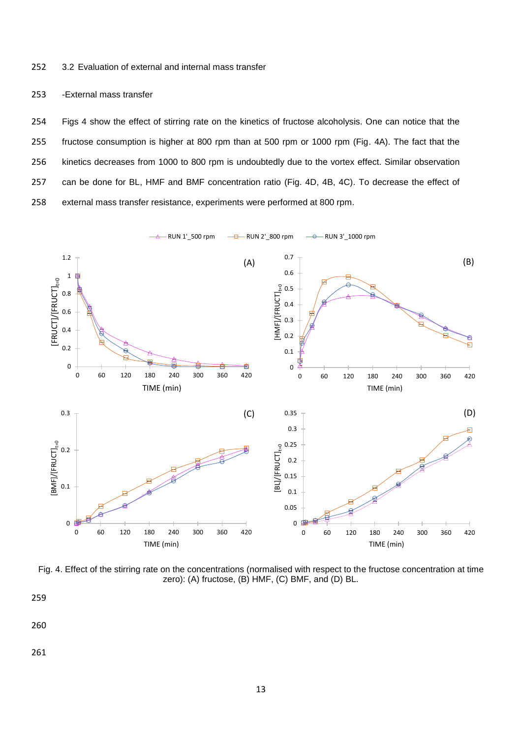252 3.2 Evaluation of external and internal mass transfer

253 -External mass transfer

 Figs 4 show the effect of stirring rate on the kinetics of fructose alcoholysis. One can notice that the fructose consumption is higher at 800 rpm than at 500 rpm or 1000 rpm (Fig. 4A). The fact that the kinetics decreases from 1000 to 800 rpm is undoubtedly due to the vortex effect. Similar observation can be done for BL, HMF and BMF concentration ratio (Fig. 4D, 4B, 4C). To decrease the effect of external mass transfer resistance, experiments were performed at 800 rpm.



Fig. 4. Effect of the stirring rate on the concentrations (normalised with respect to the fructose concentration at time zero): (A) fructose, (B) HMF, (C) BMF, and (D) BL.

259

260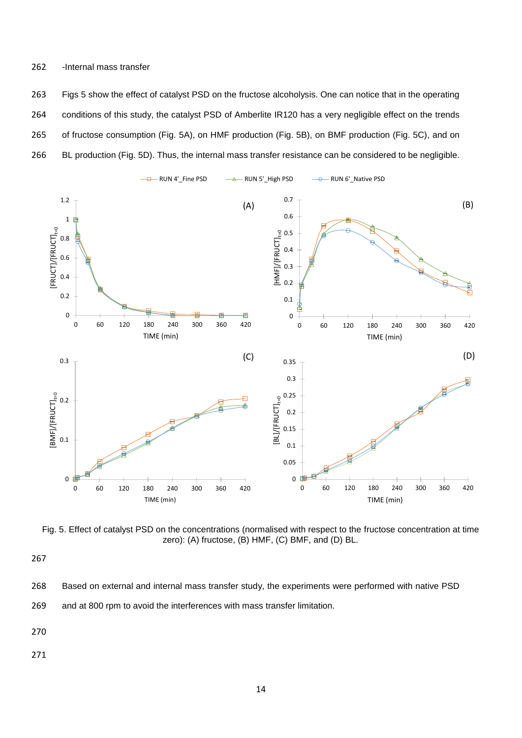#### 262 *-*Internal mass transfer

 Figs 5 show the effect of catalyst PSD on the fructose alcoholysis. One can notice that in the operating conditions of this study, the catalyst PSD of Amberlite IR120 has a very negligible effect on the trends of fructose consumption (Fig. 5A), on HMF production (Fig. 5B), on BMF production (Fig. 5C), and on BL production (Fig. 5D). Thus, the internal mass transfer resistance can be considered to be negligible.



Fig. 5. Effect of catalyst PSD on the concentrations (normalised with respect to the fructose concentration at time zero): (A) fructose, (B) HMF, (C) BMF, and (D) BL.

267

- 268 Based on external and internal mass transfer study, the experiments were performed with native PSD
- 269 and at 800 rpm to avoid the interferences with mass transfer limitation.

270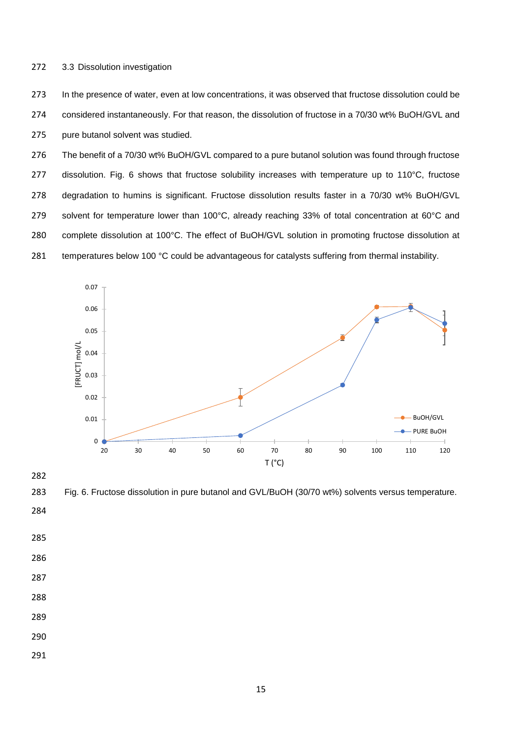272 3.3 Dissolution investigation

273 In the presence of water, even at low concentrations, it was observed that fructose dissolution could be 274 considered instantaneously. For that reason, the dissolution of fructose in a 70/30 wt% BuOH/GVL and 275 pure butanol solvent was studied.

 The benefit of a 70/30 wt% BuOH/GVL compared to a pure butanol solution was found through fructose 277 dissolution. Fig. 6 shows that fructose solubility increases with temperature up to 110°C, fructose degradation to humins is significant. Fructose dissolution results faster in a 70/30 wt% BuOH/GVL solvent for temperature lower than 100°C, already reaching 33% of total concentration at 60°C and complete dissolution at 100°C. The effect of BuOH/GVL solution in promoting fructose dissolution at 281 temperatures below 100 °C could be advantageous for catalysts suffering from thermal instability.



282

283 Fig. 6. Fructose dissolution in pure butanol and GVL/BuOH (30/70 wt%) solvents versus temperature.

- 284
- 285
- 286
- 287
- 288

- 290
- 291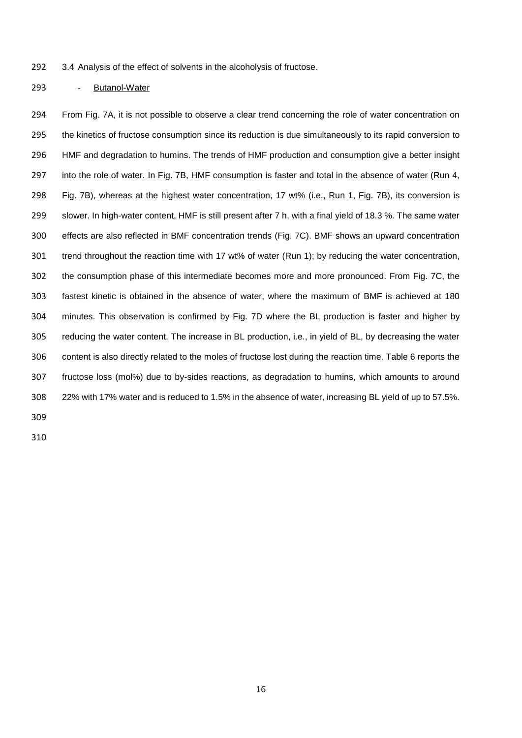3.4 Analysis of the effect of solvents in the alcoholysis of fructose.

- Butanol-Water

 From Fig. 7A, it is not possible to observe a clear trend concerning the role of water concentration on the kinetics of fructose consumption since its reduction is due simultaneously to its rapid conversion to HMF and degradation to humins. The trends of HMF production and consumption give a better insight into the role of water. In Fig. 7B, HMF consumption is faster and total in the absence of water (Run 4, Fig. 7B), whereas at the highest water concentration, 17 wt% (i.e., Run 1, Fig. 7B), its conversion is slower. In high-water content, HMF is still present after 7 h, with a final yield of 18.3 %. The same water effects are also reflected in BMF concentration trends (Fig. 7C). BMF shows an upward concentration trend throughout the reaction time with 17 wt% of water (Run 1); by reducing the water concentration, the consumption phase of this intermediate becomes more and more pronounced. From Fig. 7C, the fastest kinetic is obtained in the absence of water, where the maximum of BMF is achieved at 180 minutes. This observation is confirmed by Fig. 7D where the BL production is faster and higher by reducing the water content. The increase in BL production, i.e., in yield of BL, by decreasing the water content is also directly related to the moles of fructose lost during the reaction time. Table 6 reports the fructose loss (mol%) due to by-sides reactions, as degradation to humins, which amounts to around 22% with 17% water and is reduced to 1.5% in the absence of water, increasing BL yield of up to 57.5%.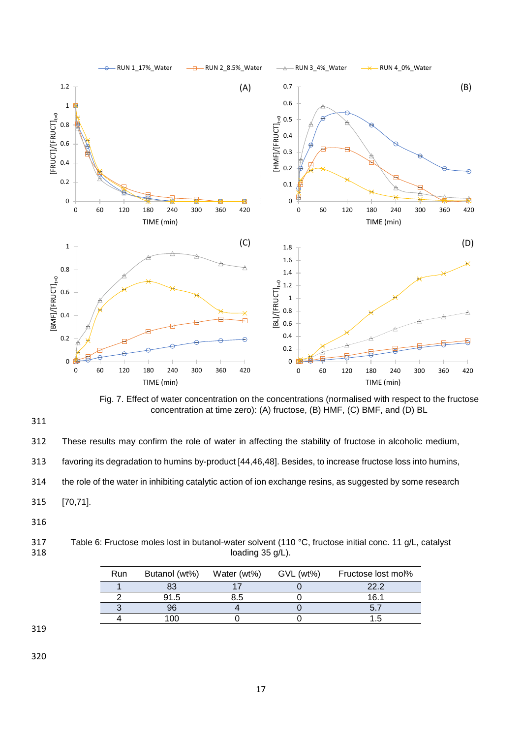

Fig. 7. Effect of water concentration on the concentrations (normalised with respect to the fructose concentration at time zero): (A) fructose, (B) HMF, (C) BMF, and (D) BL

311

312 These results may confirm the role of water in affecting the stability of fructose in alcoholic medium, 313 favoring its degradation to humins by-product [44,46,48]. Besides, to increase fructose loss into humins, 314 the role of the water in inhibiting catalytic action of ion exchange resins, as suggested by some research 315 [70,71].

316

317 Table 6: Fructose moles lost in butanol-water solvent (110 °C, fructose initial conc. 11 g/L, catalyst loading 35 g/L). loading  $35$  g/L).

| <b>Run</b> | Butanol (wt%) | Water (wt%) | GVL (wt%) | Fructose lost mol% |
|------------|---------------|-------------|-----------|--------------------|
|            |               |             |           | 22.2               |
|            | 91.5          | 3.5         |           | 16.1               |
|            | 96            |             |           |                    |
|            | . በቦ          |             |           |                    |

319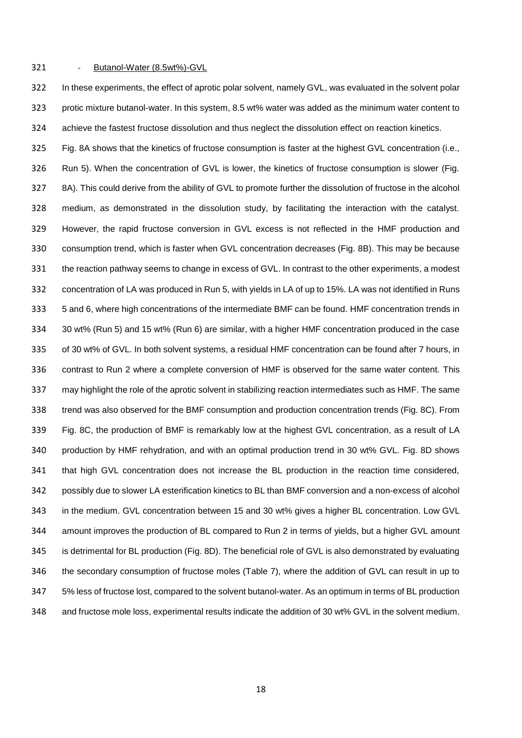#### 321 - Butanol-Water (8.5wt%)-GVL

 In these experiments, the effect of aprotic polar solvent, namely GVL, was evaluated in the solvent polar protic mixture butanol-water. In this system, 8.5 wt% water was added as the minimum water content to achieve the fastest fructose dissolution and thus neglect the dissolution effect on reaction kinetics.

 Fig. 8A shows that the kinetics of fructose consumption is faster at the highest GVL concentration (i.e., Run 5). When the concentration of GVL is lower, the kinetics of fructose consumption is slower (Fig. 8A). This could derive from the ability of GVL to promote further the dissolution of fructose in the alcohol medium, as demonstrated in the dissolution study, by facilitating the interaction with the catalyst. However, the rapid fructose conversion in GVL excess is not reflected in the HMF production and consumption trend, which is faster when GVL concentration decreases (Fig. 8B). This may be because the reaction pathway seems to change in excess of GVL. In contrast to the other experiments, a modest concentration of LA was produced in Run 5, with yields in LA of up to 15%. LA was not identified in Runs 5 and 6, where high concentrations of the intermediate BMF can be found. HMF concentration trends in 30 wt% (Run 5) and 15 wt% (Run 6) are similar, with a higher HMF concentration produced in the case of 30 wt% of GVL. In both solvent systems, a residual HMF concentration can be found after 7 hours, in contrast to Run 2 where a complete conversion of HMF is observed for the same water content. This may highlight the role of the aprotic solvent in stabilizing reaction intermediates such as HMF. The same trend was also observed for the BMF consumption and production concentration trends (Fig. 8C). From Fig. 8C, the production of BMF is remarkably low at the highest GVL concentration, as a result of LA production by HMF rehydration, and with an optimal production trend in 30 wt% GVL. Fig. 8D shows that high GVL concentration does not increase the BL production in the reaction time considered, possibly due to slower LA esterification kinetics to BL than BMF conversion and a non-excess of alcohol in the medium. GVL concentration between 15 and 30 wt% gives a higher BL concentration. Low GVL amount improves the production of BL compared to Run 2 in terms of yields, but a higher GVL amount is detrimental for BL production (Fig. 8D). The beneficial role of GVL is also demonstrated by evaluating the secondary consumption of fructose moles (Table 7), where the addition of GVL can result in up to 5% less of fructose lost, compared to the solvent butanol-water. As an optimum in terms of BL production and fructose mole loss, experimental results indicate the addition of 30 wt% GVL in the solvent medium.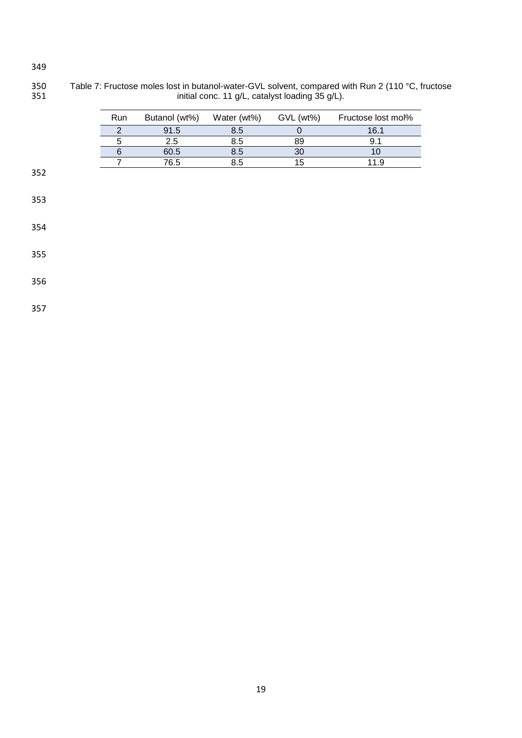Table 7: Fructose moles lost in butanol-water-GVL solvent, compared with Run 2 (110 °C, fructose **initial conc.** 11 g/L, catalyst loading 35 g/L).

| <b>Run</b> | Butanol (wt%) | Water (wt%) | $GVL$ (wt%) | Fructose lost mol% |
|------------|---------------|-------------|-------------|--------------------|
|            | 91.5          | 8.5         |             | 16.1               |
|            | 2.5           | 8.5         | 89          |                    |
|            | 60.5          | 8.5         | 30          |                    |
|            | 76.5          | 3.5         | 15          |                    |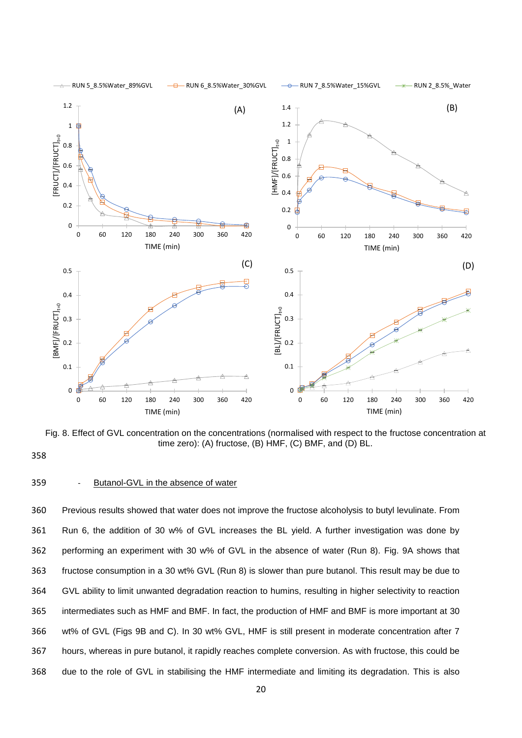

Fig. 8. Effect of GVL concentration on the concentrations (normalised with respect to the fructose concentration at time zero): (A) fructose, (B) HMF, (C) BMF, and (D) BL.

358

#### 359 - Butanol-GVL in the absence of water

 Previous results showed that water does not improve the fructose alcoholysis to butyl levulinate. From Run 6, the addition of 30 w% of GVL increases the BL yield. A further investigation was done by performing an experiment with 30 w% of GVL in the absence of water (Run 8). Fig. 9A shows that fructose consumption in a 30 wt% GVL (Run 8) is slower than pure butanol. This result may be due to GVL ability to limit unwanted degradation reaction to humins, resulting in higher selectivity to reaction intermediates such as HMF and BMF. In fact, the production of HMF and BMF is more important at 30 wt% of GVL (Figs 9B and C). In 30 wt% GVL, HMF is still present in moderate concentration after 7 hours, whereas in pure butanol, it rapidly reaches complete conversion. As with fructose, this could be due to the role of GVL in stabilising the HMF intermediate and limiting its degradation. This is also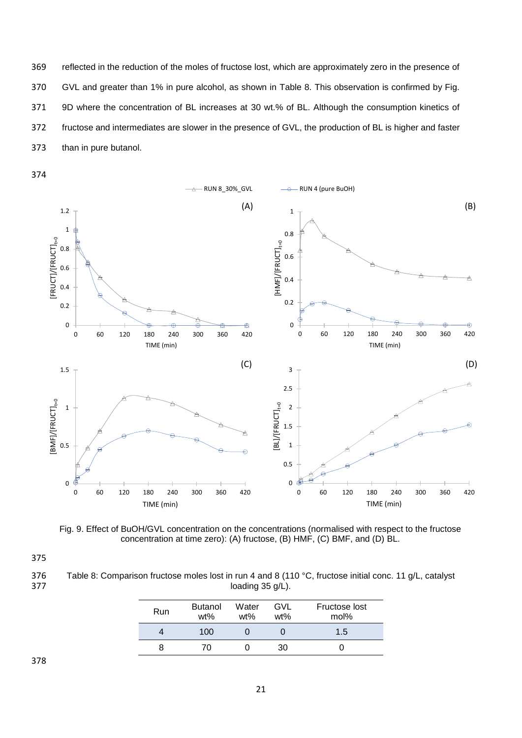reflected in the reduction of the moles of fructose lost, which are approximately zero in the presence of GVL and greater than 1% in pure alcohol, as shown in Table 8. This observation is confirmed by Fig. 9D where the concentration of BL increases at 30 wt.% of BL. Although the consumption kinetics of fructose and intermediates are slower in the presence of GVL, the production of BL is higher and faster than in pure butanol.





Fig. 9. Effect of BuOH/GVL concentration on the concentrations (normalised with respect to the fructose concentration at time zero): (A) fructose, (B) HMF, (C) BMF, and (D) BL.

375

376 Table 8: Comparison fructose moles lost in run 4 and 8 (110 °C, fructose initial conc. 11 g/L, catalyst loading 35 g/L). loading  $35$  g/L).

| Run | <b>Butanol</b><br>$wt\%$ | Water<br>$wt\%$ | GVL<br>$wt\%$ | Fructose lost<br>mol% |
|-----|--------------------------|-----------------|---------------|-----------------------|
|     | 100                      |                 |               | 1.5                   |
| я   | 70                       |                 | 30            |                       |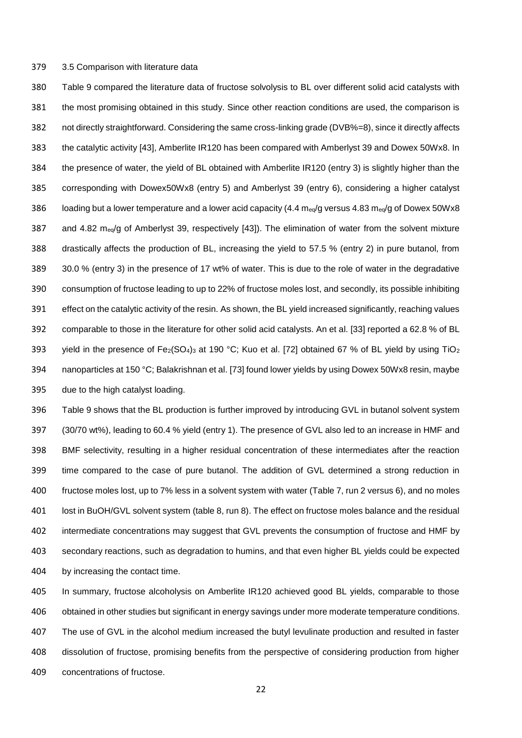#### 3.5 Comparison with literature data

 Table 9 compared the literature data of fructose solvolysis to BL over different solid acid catalysts with the most promising obtained in this study. Since other reaction conditions are used, the comparison is not directly straightforward. Considering the same cross-linking grade (DVB%=8), since it directly affects the catalytic activity [43], Amberlite IR120 has been compared with Amberlyst 39 and Dowex 50Wx8. In the presence of water, the yield of BL obtained with Amberlite IR120 (entry 3) is slightly higher than the corresponding with Dowex50Wx8 (entry 5) and Amberlyst 39 (entry 6), considering a higher catalyst 386 loading but a lower temperature and a lower acid capacity (4.4  $\text{m}_{eq}$  versus 4.83  $\text{m}_{eq}$  of Dowex 50Wx8 387 and 4.82 meq/g of Amberlyst 39, respectively [43]). The elimination of water from the solvent mixture drastically affects the production of BL, increasing the yield to 57.5 % (entry 2) in pure butanol, from 30.0 % (entry 3) in the presence of 17 wt% of water. This is due to the role of water in the degradative consumption of fructose leading to up to 22% of fructose moles lost, and secondly, its possible inhibiting effect on the catalytic activity of the resin. As shown, the BL yield increased significantly, reaching values comparable to those in the literature for other solid acid catalysts. An et al. [33] reported a 62.8 % of BL 393 yield in the presence of Fe<sub>2</sub>(SO<sub>4</sub>)<sub>3</sub> at 190 °C; Kuo et al. [72] obtained 67 % of BL yield by using TiO<sub>2</sub> nanoparticles at 150 °C; Balakrishnan et al. [73] found lower yields by using Dowex 50Wx8 resin, maybe due to the high catalyst loading.

 Table 9 shows that the BL production is further improved by introducing GVL in butanol solvent system (30/70 wt%), leading to 60.4 % yield (entry 1). The presence of GVL also led to an increase in HMF and BMF selectivity, resulting in a higher residual concentration of these intermediates after the reaction time compared to the case of pure butanol. The addition of GVL determined a strong reduction in fructose moles lost, up to 7% less in a solvent system with water (Table 7, run 2 versus 6), and no moles lost in BuOH/GVL solvent system (table 8, run 8). The effect on fructose moles balance and the residual intermediate concentrations may suggest that GVL prevents the consumption of fructose and HMF by secondary reactions, such as degradation to humins, and that even higher BL yields could be expected by increasing the contact time.

 In summary, fructose alcoholysis on Amberlite IR120 achieved good BL yields, comparable to those obtained in other studies but significant in energy savings under more moderate temperature conditions. The use of GVL in the alcohol medium increased the butyl levulinate production and resulted in faster dissolution of fructose, promising benefits from the perspective of considering production from higher concentrations of fructose.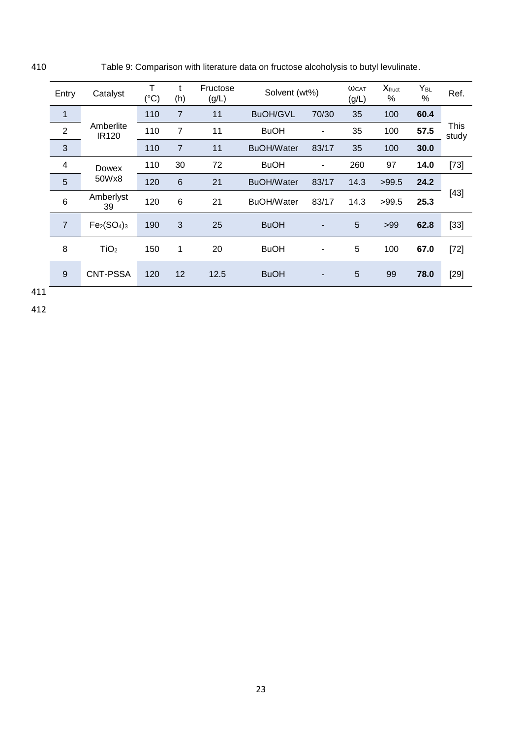410 Table 9: Comparison with literature data on fructose alcoholysis to butyl levulinate.

| Entry                   | Catalyst                  | Т<br>$(^{\circ}C)$ | t<br>(h)       | Fructose<br>(g/L) | Solvent (wt%)     |                          | WCAT<br>(g/L) | $X_{fruct}$<br>% | Y <sub>BL</sub><br>$\%$ | Ref.          |
|-------------------------|---------------------------|--------------------|----------------|-------------------|-------------------|--------------------------|---------------|------------------|-------------------------|---------------|
| 1                       |                           | 110                | $\overline{7}$ | 11                | <b>BuOH/GVL</b>   | 70/30                    | 35            | 100              | 60.4                    |               |
| $\overline{2}$          | Amberlite<br><b>IR120</b> | 110                | 7              | 11                | <b>BuOH</b>       | $\overline{\phantom{a}}$ | 35            | 100              | 57.5                    | This<br>study |
| 3                       |                           | 110                | $\overline{7}$ | 11                | <b>BuOH/Water</b> | 83/17                    | 35            | 100              | 30.0                    |               |
| $\overline{\mathbf{4}}$ | <b>Dowex</b>              | 110                | 30             | 72                | <b>BuOH</b>       | -                        | 260           | 97               | 14.0                    | $[73]$        |
| 5                       | 50Wx8                     | 120                | $6\phantom{1}$ | 21                | <b>BuOH/Water</b> | 83/17                    | 14.3          | >99.5            | 24.2                    |               |
| $6\phantom{1}6$         | Amberlyst<br>39           | 120                | 6              | 21                | <b>BuOH/Water</b> | 83/17                    | 14.3          | >99.5            | 25.3                    | $[43]$        |
| $\overline{7}$          | $Fe2(SO4)3$               | 190                | 3              | 25                | <b>BuOH</b>       | $\overline{a}$           | 5             | >99              | 62.8                    | $[33]$        |
| 8                       | TiO <sub>2</sub>          | 150                | 1              | 20                | <b>BuOH</b>       |                          | 5             | 100              | 67.0                    | $[72]$        |
| 9                       | <b>CNT-PSSA</b>           | 120                | 12             | 12.5              | <b>BuOH</b>       | $\overline{a}$           | 5             | 99               | 78.0                    | $[29]$        |

411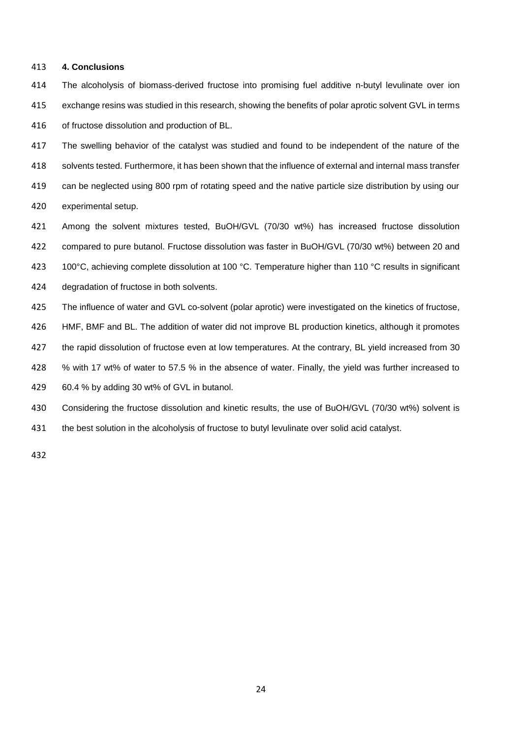#### **4. Conclusions**

 The alcoholysis of biomass-derived fructose into promising fuel additive n-butyl levulinate over ion exchange resins was studied in this research, showing the benefits of polar aprotic solvent GVL in terms of fructose dissolution and production of BL.

 The swelling behavior of the catalyst was studied and found to be independent of the nature of the solvents tested. Furthermore, it has been shown that the influence of external and internal mass transfer can be neglected using 800 rpm of rotating speed and the native particle size distribution by using our experimental setup.

- Among the solvent mixtures tested, BuOH/GVL (70/30 wt%) has increased fructose dissolution compared to pure butanol. Fructose dissolution was faster in BuOH/GVL (70/30 wt%) between 20 and
- 423 100°C, achieving complete dissolution at 100 °C. Temperature higher than 110 °C results in significant
- degradation of fructose in both solvents.
- The influence of water and GVL co-solvent (polar aprotic) were investigated on the kinetics of fructose,
- HMF, BMF and BL. The addition of water did not improve BL production kinetics, although it promotes
- the rapid dissolution of fructose even at low temperatures. At the contrary, BL yield increased from 30
- % with 17 wt% of water to 57.5 % in the absence of water. Finally, the yield was further increased to
- 60.4 % by adding 30 wt% of GVL in butanol.
- Considering the fructose dissolution and kinetic results, the use of BuOH/GVL (70/30 wt%) solvent is
- the best solution in the alcoholysis of fructose to butyl levulinate over solid acid catalyst.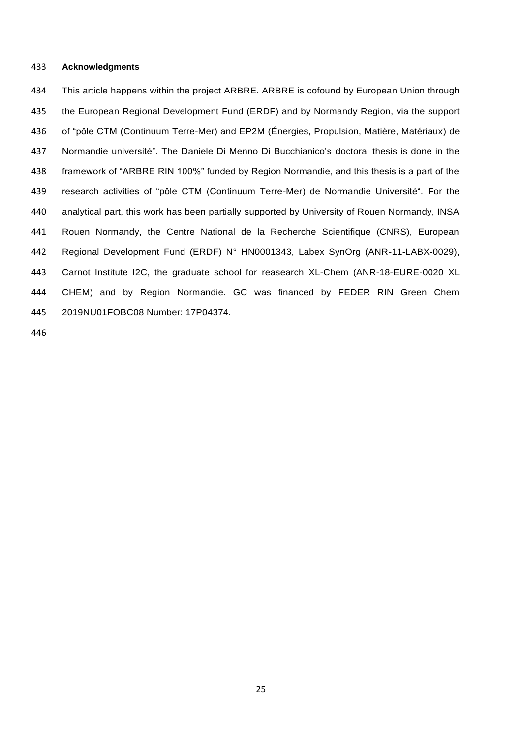#### **Acknowledgments**

434 This article happens within the project ARBRE. ARBRE is cofound by European Union through the European Regional Development Fund (ERDF) and by Normandy Region, via the support of "pôle CTM (Continuum Terre-Mer) and EP2M (Énergies, Propulsion, Matière, Matériaux) de Normandie université". The Daniele Di Menno Di Bucchianico's doctoral thesis is done in the framework of "ARBRE RIN 100%" funded by Region Normandie, and this thesis is a part of the research activities of "pôle CTM (Continuum Terre-Mer) de Normandie Université". For the analytical part, this work has been partially supported by University of Rouen Normandy, INSA Rouen Normandy, the Centre National de la Recherche Scientifique (CNRS), European Regional Development Fund (ERDF) N° HN0001343, Labex SynOrg (ANR-11-LABX-0029), Carnot Institute I2C, the graduate school for reasearch XL-Chem (ANR-18-EURE-0020 XL CHEM) and by Region Normandie. GC was financed by FEDER RIN Green Chem 2019NU01FOBC08 Number: 17P04374.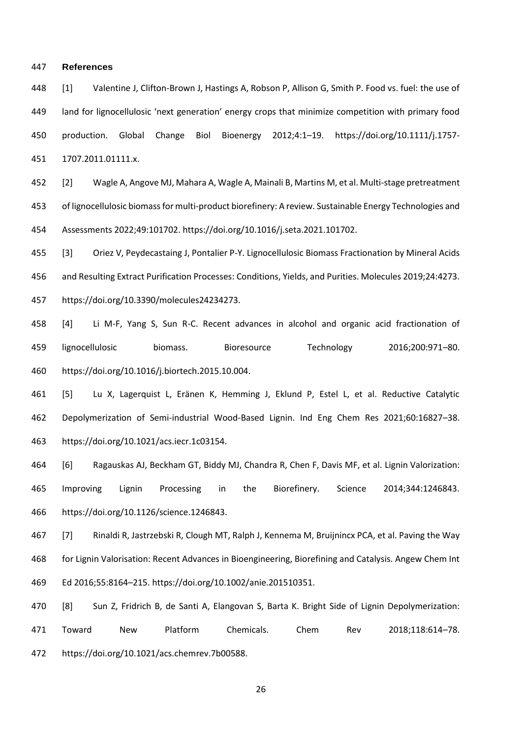#### **References**

 [1] Valentine J, Clifton-Brown J, Hastings A, Robson P, Allison G, Smith P. Food vs. fuel: the use of land for lignocellulosic 'next generation' energy crops that minimize competition with primary food production. Global Change Biol Bioenergy 2012;4:1–19. https://doi.org/10.1111/j.1757- 1707.2011.01111.x.

 [2] Wagle A, Angove MJ, Mahara A, Wagle A, Mainali B, Martins M, et al. Multi-stage pretreatment of lignocellulosic biomass for multi-product biorefinery: A review. Sustainable Energy Technologies and Assessments 2022;49:101702. https://doi.org/10.1016/j.seta.2021.101702.

 [3] Oriez V, Peydecastaing J, Pontalier P-Y. Lignocellulosic Biomass Fractionation by Mineral Acids and Resulting Extract Purification Processes: Conditions, Yields, and Purities. Molecules 2019;24:4273. https://doi.org/10.3390/molecules24234273.

 [4] Li M-F, Yang S, Sun R-C. Recent advances in alcohol and organic acid fractionation of lignocellulosic biomass. Bioresource Technology 2016;200:971–80. https://doi.org/10.1016/j.biortech.2015.10.004.

 [5] Lu X, Lagerquist L, Eränen K, Hemming J, Eklund P, Estel L, et al. Reductive Catalytic Depolymerization of Semi-industrial Wood-Based Lignin. Ind Eng Chem Res 2021;60:16827–38. https://doi.org/10.1021/acs.iecr.1c03154.

 [6] Ragauskas AJ, Beckham GT, Biddy MJ, Chandra R, Chen F, Davis MF, et al. Lignin Valorization: Improving Lignin Processing in the Biorefinery. Science 2014;344:1246843. https://doi.org/10.1126/science.1246843.

 [7] Rinaldi R, Jastrzebski R, Clough MT, Ralph J, Kennema M, Bruijnincx PCA, et al. Paving the Way for Lignin Valorisation: Recent Advances in Bioengineering, Biorefining and Catalysis. Angew Chem Int Ed 2016;55:8164–215. https://doi.org/10.1002/anie.201510351.

 [8] Sun Z, Fridrich B, de Santi A, Elangovan S, Barta K. Bright Side of Lignin Depolymerization: Toward New Platform Chemicals. Chem Rev 2018;118:614–78. https://doi.org/10.1021/acs.chemrev.7b00588.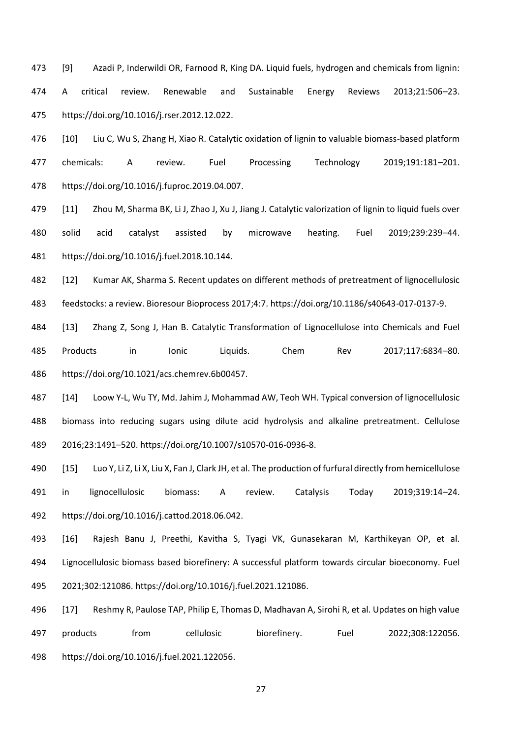[9] Azadi P, Inderwildi OR, Farnood R, King DA. Liquid fuels, hydrogen and chemicals from lignin: A critical review. Renewable and Sustainable Energy Reviews 2013;21:506–23. https://doi.org/10.1016/j.rser.2012.12.022.

 [10] Liu C, Wu S, Zhang H, Xiao R. Catalytic oxidation of lignin to valuable biomass-based platform chemicals: A review. Fuel Processing Technology 2019;191:181–201. https://doi.org/10.1016/j.fuproc.2019.04.007.

 [11] Zhou M, Sharma BK, Li J, Zhao J, Xu J, Jiang J. Catalytic valorization of lignin to liquid fuels over solid acid catalyst assisted by microwave heating. Fuel 2019;239:239–44. https://doi.org/10.1016/j.fuel.2018.10.144.

 [12] Kumar AK, Sharma S. Recent updates on different methods of pretreatment of lignocellulosic feedstocks: a review. Bioresour Bioprocess 2017;4:7. https://doi.org/10.1186/s40643-017-0137-9.

 [13] Zhang Z, Song J, Han B. Catalytic Transformation of Lignocellulose into Chemicals and Fuel Products in Ionic Liquids. Chem Rev 2017;117:6834–80. https://doi.org/10.1021/acs.chemrev.6b00457.

 [14] Loow Y-L, Wu TY, Md. Jahim J, Mohammad AW, Teoh WH. Typical conversion of lignocellulosic biomass into reducing sugars using dilute acid hydrolysis and alkaline pretreatment. Cellulose 2016;23:1491–520. https://doi.org/10.1007/s10570-016-0936-8.

 [15] Luo Y, Li Z, Li X, Liu X, Fan J, Clark JH, et al. The production of furfural directly from hemicellulose in lignocellulosic biomass: A review. Catalysis Today 2019;319:14–24. https://doi.org/10.1016/j.cattod.2018.06.042.

 [16] Rajesh Banu J, Preethi, Kavitha S, Tyagi VK, Gunasekaran M, Karthikeyan OP, et al. Lignocellulosic biomass based biorefinery: A successful platform towards circular bioeconomy. Fuel 2021;302:121086. https://doi.org/10.1016/j.fuel.2021.121086.

 [17] Reshmy R, Paulose TAP, Philip E, Thomas D, Madhavan A, Sirohi R, et al. Updates on high value products from cellulosic biorefinery. Fuel 2022;308:122056. https://doi.org/10.1016/j.fuel.2021.122056.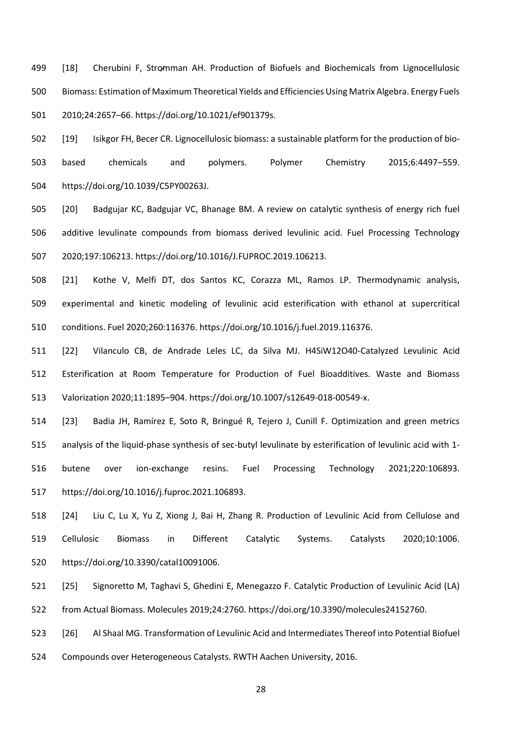499 [18] Cherubini F, Stromman AH. Production of Biofuels and Biochemicals from Lignocellulosic Biomass: Estimation of Maximum Theoretical Yields and Efficiencies Using Matrix Algebra. Energy Fuels 2010;24:2657–66. https://doi.org/10.1021/ef901379s.

 [19] Isikgor FH, Becer CR. Lignocellulosic biomass: a sustainable platform for the production of bio- based chemicals and polymers. Polymer Chemistry 2015;6:4497–559. https://doi.org/10.1039/C5PY00263J.

 [20] Badgujar KC, Badgujar VC, Bhanage BM. A review on catalytic synthesis of energy rich fuel additive levulinate compounds from biomass derived levulinic acid. Fuel Processing Technology 2020;197:106213. https://doi.org/10.1016/J.FUPROC.2019.106213.

 [21] Kothe V, Melfi DT, dos Santos KC, Corazza ML, Ramos LP. Thermodynamic analysis, experimental and kinetic modeling of levulinic acid esterification with ethanol at supercritical conditions. Fuel 2020;260:116376. https://doi.org/10.1016/j.fuel.2019.116376.

 [22] Vilanculo CB, de Andrade Leles LC, da Silva MJ. H4SiW12O40-Catalyzed Levulinic Acid Esterification at Room Temperature for Production of Fuel Bioadditives. Waste and Biomass Valorization 2020;11:1895–904. https://doi.org/10.1007/s12649-018-00549-x.

 [23] Badia JH, Ramírez E, Soto R, Bringué R, Tejero J, Cunill F. Optimization and green metrics analysis of the liquid-phase synthesis of sec-butyl levulinate by esterification of levulinic acid with 1- butene over ion-exchange resins. Fuel Processing Technology 2021;220:106893. https://doi.org/10.1016/j.fuproc.2021.106893.

 [24] Liu C, Lu X, Yu Z, Xiong J, Bai H, Zhang R. Production of Levulinic Acid from Cellulose and Cellulosic Biomass in Different Catalytic Systems. Catalysts 2020;10:1006. https://doi.org/10.3390/catal10091006.

 [25] Signoretto M, Taghavi S, Ghedini E, Menegazzo F. Catalytic Production of Levulinic Acid (LA) from Actual Biomass. Molecules 2019;24:2760. https://doi.org/10.3390/molecules24152760.

 [26] Al Shaal MG. Transformation of Levulinic Acid and Intermediates Thereof into Potential Biofuel Compounds over Heterogeneous Catalysts. RWTH Aachen University, 2016.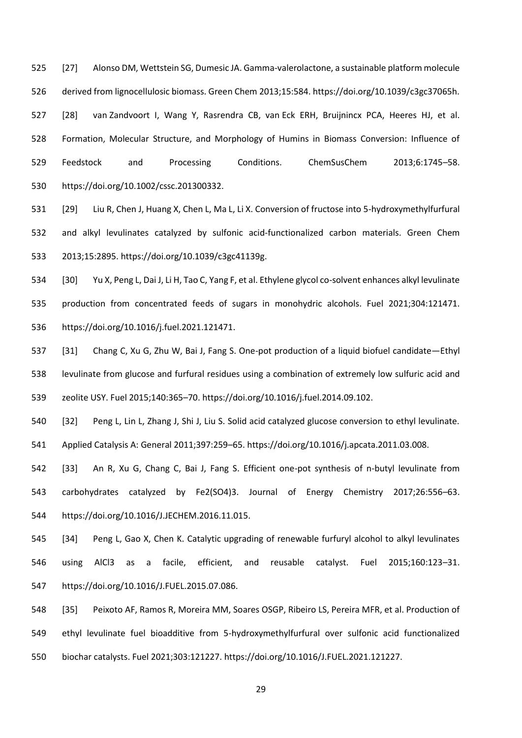[27] Alonso DM, Wettstein SG, Dumesic JA. Gamma-valerolactone, a sustainable platform molecule derived from lignocellulosic biomass. Green Chem 2013;15:584. https://doi.org/10.1039/c3gc37065h. [28] van Zandvoort I, Wang Y, Rasrendra CB, van Eck ERH, Bruijnincx PCA, Heeres HJ, et al. Formation, Molecular Structure, and Morphology of Humins in Biomass Conversion: Influence of Feedstock and Processing Conditions. ChemSusChem 2013;6:1745–58. https://doi.org/10.1002/cssc.201300332.

 [29] Liu R, Chen J, Huang X, Chen L, Ma L, Li X. Conversion of fructose into 5-hydroxymethylfurfural and alkyl levulinates catalyzed by sulfonic acid-functionalized carbon materials. Green Chem 2013;15:2895. https://doi.org/10.1039/c3gc41139g.

 [30] Yu X, Peng L, Dai J, Li H, Tao C, Yang F, et al. Ethylene glycol co-solvent enhances alkyl levulinate production from concentrated feeds of sugars in monohydric alcohols. Fuel 2021;304:121471. https://doi.org/10.1016/j.fuel.2021.121471.

 [31] Chang C, Xu G, Zhu W, Bai J, Fang S. One-pot production of a liquid biofuel candidate—Ethyl levulinate from glucose and furfural residues using a combination of extremely low sulfuric acid and zeolite USY. Fuel 2015;140:365–70. https://doi.org/10.1016/j.fuel.2014.09.102.

 [32] Peng L, Lin L, Zhang J, Shi J, Liu S. Solid acid catalyzed glucose conversion to ethyl levulinate. Applied Catalysis A: General 2011;397:259–65. https://doi.org/10.1016/j.apcata.2011.03.008.

 [33] An R, Xu G, Chang C, Bai J, Fang S. Efficient one-pot synthesis of n-butyl levulinate from carbohydrates catalyzed by Fe2(SO4)3. Journal of Energy Chemistry 2017;26:556–63. https://doi.org/10.1016/J.JECHEM.2016.11.015.

 [34] Peng L, Gao X, Chen K. Catalytic upgrading of renewable furfuryl alcohol to alkyl levulinates using AlCl3 as a facile, efficient, and reusable catalyst. Fuel 2015;160:123–31. https://doi.org/10.1016/J.FUEL.2015.07.086.

 [35] Peixoto AF, Ramos R, Moreira MM, Soares OSGP, Ribeiro LS, Pereira MFR, et al. Production of ethyl levulinate fuel bioadditive from 5-hydroxymethylfurfural over sulfonic acid functionalized biochar catalysts. Fuel 2021;303:121227. https://doi.org/10.1016/J.FUEL.2021.121227.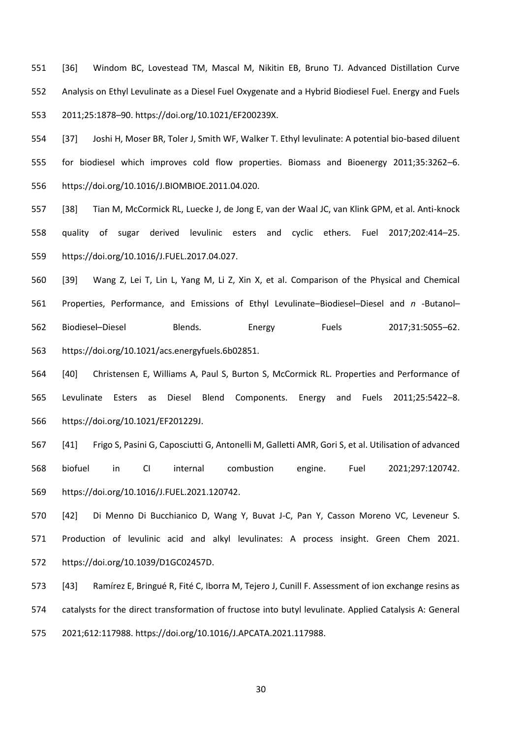[36] Windom BC, Lovestead TM, Mascal M, Nikitin EB, Bruno TJ. Advanced Distillation Curve Analysis on Ethyl Levulinate as a Diesel Fuel Oxygenate and a Hybrid Biodiesel Fuel. Energy and Fuels 2011;25:1878–90. https://doi.org/10.1021/EF200239X.

 [37] Joshi H, Moser BR, Toler J, Smith WF, Walker T. Ethyl levulinate: A potential bio-based diluent for biodiesel which improves cold flow properties. Biomass and Bioenergy 2011;35:3262–6. https://doi.org/10.1016/J.BIOMBIOE.2011.04.020.

 [38] Tian M, McCormick RL, Luecke J, de Jong E, van der Waal JC, van Klink GPM, et al. Anti-knock quality of sugar derived levulinic esters and cyclic ethers. Fuel 2017;202:414–25. https://doi.org/10.1016/J.FUEL.2017.04.027.

 [39] Wang Z, Lei T, Lin L, Yang M, Li Z, Xin X, et al. Comparison of the Physical and Chemical Properties, Performance, and Emissions of Ethyl Levulinate–Biodiesel–Diesel and *n* -Butanol– Biodiesel–Diesel Blends. Energy Fuels 2017;31:5055–62. https://doi.org/10.1021/acs.energyfuels.6b02851.

 [40] Christensen E, Williams A, Paul S, Burton S, McCormick RL. Properties and Performance of Levulinate Esters as Diesel Blend Components. Energy and Fuels 2011;25:5422–8. https://doi.org/10.1021/EF201229J.

 [41] Frigo S, Pasini G, Caposciutti G, Antonelli M, Galletti AMR, Gori S, et al. Utilisation of advanced biofuel in CI internal combustion engine. Fuel 2021;297:120742. https://doi.org/10.1016/J.FUEL.2021.120742.

 [42] Di Menno Di Bucchianico D, Wang Y, Buvat J-C, Pan Y, Casson Moreno VC, Leveneur S. Production of levulinic acid and alkyl levulinates: A process insight. Green Chem 2021. https://doi.org/10.1039/D1GC02457D.

 [43] Ramírez E, Bringué R, Fité C, Iborra M, Tejero J, Cunill F. Assessment of ion exchange resins as catalysts for the direct transformation of fructose into butyl levulinate. Applied Catalysis A: General 2021;612:117988. https://doi.org/10.1016/J.APCATA.2021.117988.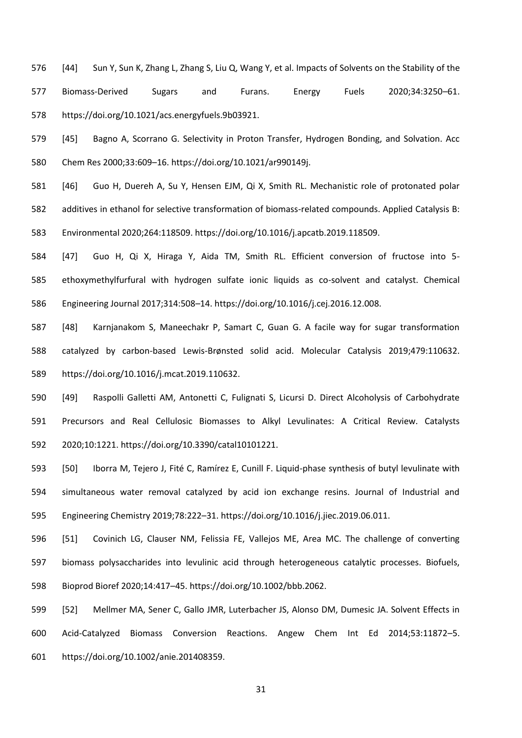[44] Sun Y, Sun K, Zhang L, Zhang S, Liu Q, Wang Y, et al. Impacts of Solvents on the Stability of the Biomass-Derived Sugars and Furans. Energy Fuels 2020;34:3250–61. https://doi.org/10.1021/acs.energyfuels.9b03921.

 [45] Bagno A, Scorrano G. Selectivity in Proton Transfer, Hydrogen Bonding, and Solvation. Acc Chem Res 2000;33:609–16. https://doi.org/10.1021/ar990149j.

 [46] Guo H, Duereh A, Su Y, Hensen EJM, Qi X, Smith RL. Mechanistic role of protonated polar additives in ethanol for selective transformation of biomass-related compounds. Applied Catalysis B: Environmental 2020;264:118509. https://doi.org/10.1016/j.apcatb.2019.118509.

 [47] Guo H, Qi X, Hiraga Y, Aida TM, Smith RL. Efficient conversion of fructose into 5- ethoxymethylfurfural with hydrogen sulfate ionic liquids as co-solvent and catalyst. Chemical Engineering Journal 2017;314:508–14. https://doi.org/10.1016/j.cej.2016.12.008.

 [48] Karnjanakom S, Maneechakr P, Samart C, Guan G. A facile way for sugar transformation catalyzed by carbon-based Lewis-Brønsted solid acid. Molecular Catalysis 2019;479:110632. https://doi.org/10.1016/j.mcat.2019.110632.

 [49] Raspolli Galletti AM, Antonetti C, Fulignati S, Licursi D. Direct Alcoholysis of Carbohydrate Precursors and Real Cellulosic Biomasses to Alkyl Levulinates: A Critical Review. Catalysts 2020;10:1221. https://doi.org/10.3390/catal10101221.

 [50] Iborra M, Tejero J, Fité C, Ramírez E, Cunill F. Liquid-phase synthesis of butyl levulinate with simultaneous water removal catalyzed by acid ion exchange resins. Journal of Industrial and Engineering Chemistry 2019;78:222–31. https://doi.org/10.1016/j.jiec.2019.06.011.

 [51] Covinich LG, Clauser NM, Felissia FE, Vallejos ME, Area MC. The challenge of converting biomass polysaccharides into levulinic acid through heterogeneous catalytic processes. Biofuels, Bioprod Bioref 2020;14:417–45. https://doi.org/10.1002/bbb.2062.

 [52] Mellmer MA, Sener C, Gallo JMR, Luterbacher JS, Alonso DM, Dumesic JA. Solvent Effects in Acid-Catalyzed Biomass Conversion Reactions. Angew Chem Int Ed 2014;53:11872–5. https://doi.org/10.1002/anie.201408359.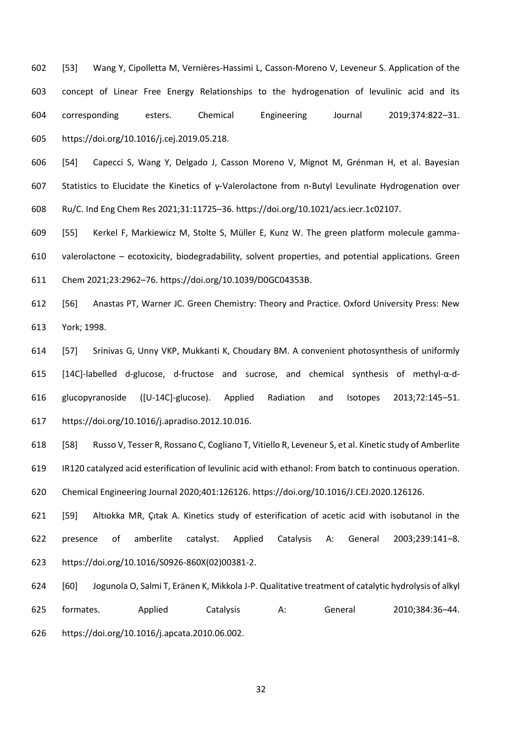[53] Wang Y, Cipolletta M, Vernières-Hassimi L, Casson-Moreno V, Leveneur S. Application of the concept of Linear Free Energy Relationships to the hydrogenation of levulinic acid and its corresponding esters. Chemical Engineering Journal 2019;374:822–31. https://doi.org/10.1016/j.cej.2019.05.218.

 [54] Capecci S, Wang Y, Delgado J, Casson Moreno V, Mignot M, Grénman H, et al. Bayesian Statistics to Elucidate the Kinetics of γ‑Valerolactone from n‑Butyl Levulinate Hydrogenation over Ru/C. Ind Eng Chem Res 2021;31:11725–36. https://doi.org/10.1021/acs.iecr.1c02107.

 [55] Kerkel F, Markiewicz M, Stolte S, Müller E, Kunz W. The green platform molecule gamma- valerolactone – ecotoxicity, biodegradability, solvent properties, and potential applications. Green Chem 2021;23:2962–76. https://doi.org/10.1039/D0GC04353B.

 [56] Anastas PT, Warner JC. Green Chemistry: Theory and Practice. Oxford University Press: New York; 1998.

 [57] Srinivas G, Unny VKP, Mukkanti K, Choudary BM. A convenient photosynthesis of uniformly [14C]-labelled d-glucose, d-fructose and sucrose, and chemical synthesis of methyl-α-d- glucopyranoside ([U-14C]-glucose). Applied Radiation and Isotopes 2013;72:145–51. https://doi.org/10.1016/j.apradiso.2012.10.016.

 [58] Russo V, Tesser R, Rossano C, Cogliano T, Vitiello R, Leveneur S, et al. Kinetic study of Amberlite IR120 catalyzed acid esterification of levulinic acid with ethanol: From batch to continuous operation. Chemical Engineering Journal 2020;401:126126. https://doi.org/10.1016/J.CEJ.2020.126126.

 [59] Altıokka MR, Çıtak A. Kinetics study of esterification of acetic acid with isobutanol in the presence of amberlite catalyst. Applied Catalysis A: General 2003;239:141–8. https://doi.org/10.1016/S0926-860X(02)00381-2.

 [60] Jogunola O, Salmi T, Eränen K, Mikkola J-P. Qualitative treatment of catalytic hydrolysis of alkyl formates. Applied Catalysis A: General 2010;384:36–44. https://doi.org/10.1016/j.apcata.2010.06.002.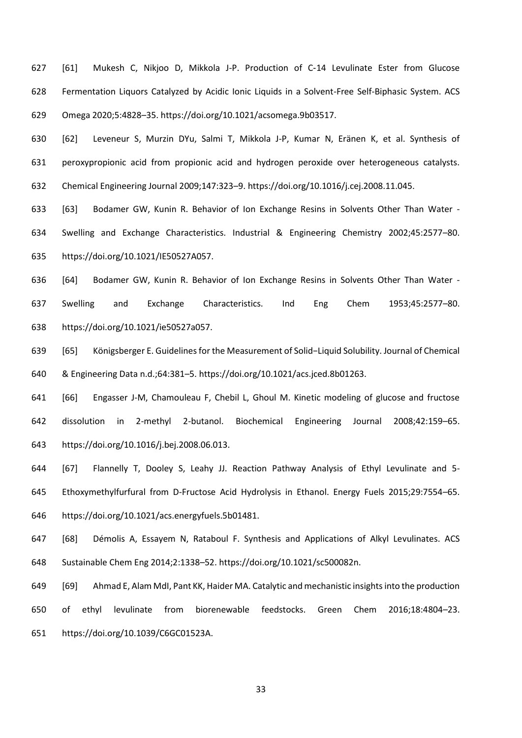[61] Mukesh C, Nikjoo D, Mikkola J-P. Production of C‑14 Levulinate Ester from Glucose Fermentation Liquors Catalyzed by Acidic Ionic Liquids in a Solvent-Free Self-Biphasic System. ACS Omega 2020;5:4828–35. https://doi.org/10.1021/acsomega.9b03517.

 [62] Leveneur S, Murzin DYu, Salmi T, Mikkola J-P, Kumar N, Eränen K, et al. Synthesis of peroxypropionic acid from propionic acid and hydrogen peroxide over heterogeneous catalysts. Chemical Engineering Journal 2009;147:323–9. https://doi.org/10.1016/j.cej.2008.11.045.

 [63] Bodamer GW, Kunin R. Behavior of Ion Exchange Resins in Solvents Other Than Water - Swelling and Exchange Characteristics. Industrial & Engineering Chemistry 2002;45:2577–80. https://doi.org/10.1021/IE50527A057.

 [64] Bodamer GW, Kunin R. Behavior of Ion Exchange Resins in Solvents Other Than Water - Swelling and Exchange Characteristics. Ind Eng Chem 1953;45:2577–80. https://doi.org/10.1021/ie50527a057.

 [65] Königsberger E. Guidelines for the Measurement of Solid−Liquid Solubility. Journal of Chemical & Engineering Data n.d.;64:381–5. https://doi.org/10.1021/acs.jced.8b01263.

 [66] Engasser J-M, Chamouleau F, Chebil L, Ghoul M. Kinetic modeling of glucose and fructose dissolution in 2-methyl 2-butanol. Biochemical Engineering Journal 2008;42:159–65. https://doi.org/10.1016/j.bej.2008.06.013.

 [67] Flannelly T, Dooley S, Leahy JJ. Reaction Pathway Analysis of Ethyl Levulinate and 5- Ethoxymethylfurfural from D-Fructose Acid Hydrolysis in Ethanol. Energy Fuels 2015;29:7554–65. https://doi.org/10.1021/acs.energyfuels.5b01481.

 [68] Démolis A, Essayem N, Rataboul F. Synthesis and Applications of Alkyl Levulinates. ACS Sustainable Chem Eng 2014;2:1338–52. https://doi.org/10.1021/sc500082n.

 [69] Ahmad E, Alam MdI, Pant KK, Haider MA. Catalytic and mechanistic insights into the production of ethyl levulinate from biorenewable feedstocks. Green Chem 2016;18:4804–23. https://doi.org/10.1039/C6GC01523A.